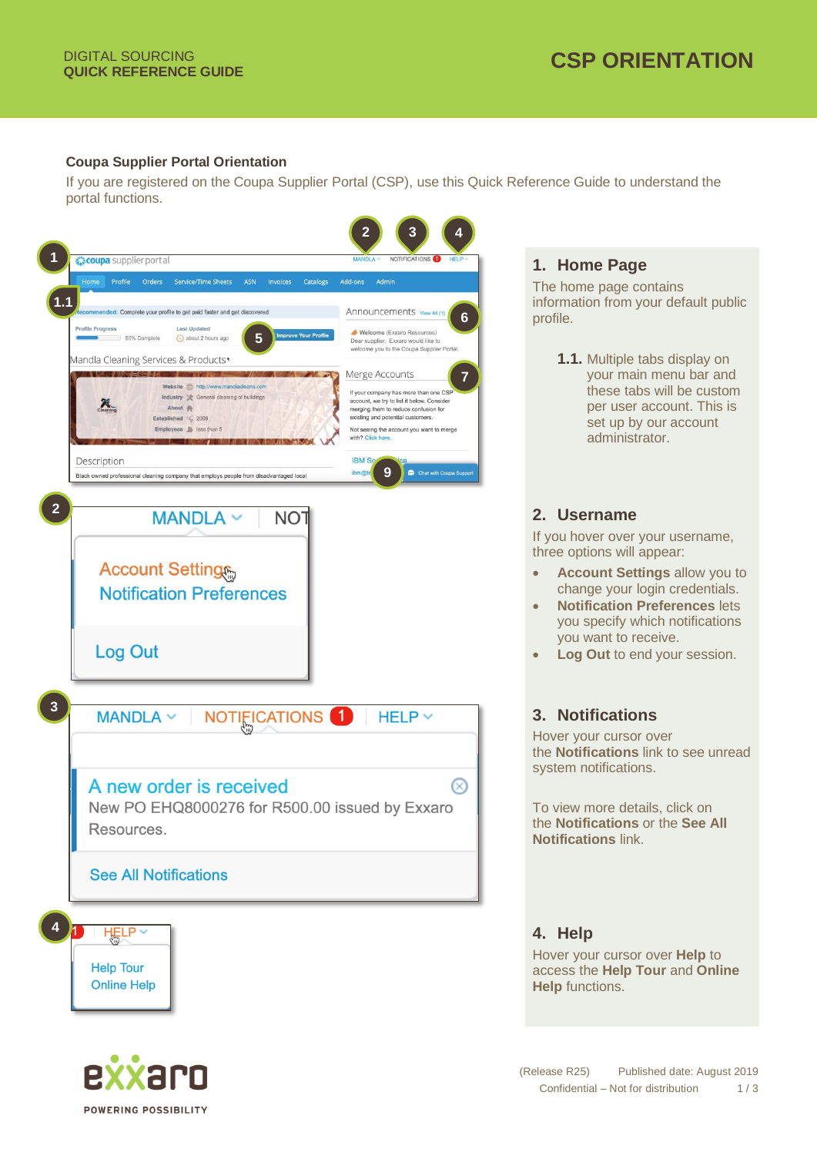**POWERING POSSIBILITY** 

#### **Coupa Supplier Portal Orientation**

If you are registered on the Coupa Supplier Portal (CSP), use this Quick Reference Guide to understand the portal functions.



# **1. Home Page**

The home page contains information from your default public profile.

> **1.1.** Multiple tabs display on your main menu bar and these tabs will be custom per user account. This is set up by our account administrator.

# **2. Username**

If you hover over your username, three options will appear:

- **Account Settings** allow you to change your login credentials.
- **Notification Preferences** lets you specify which notifications you want to receive.
- **Log Out** to end your session.

# **3. Notifications**

Hover your cursor over the **Notifications** link to see unread system notifications.

To view more details, click on the **Notifications** or the **See All Notifications** link.

# **4. Help**

Hover your cursor over **Help** to access the **Help Tour** and **Online Help** functions.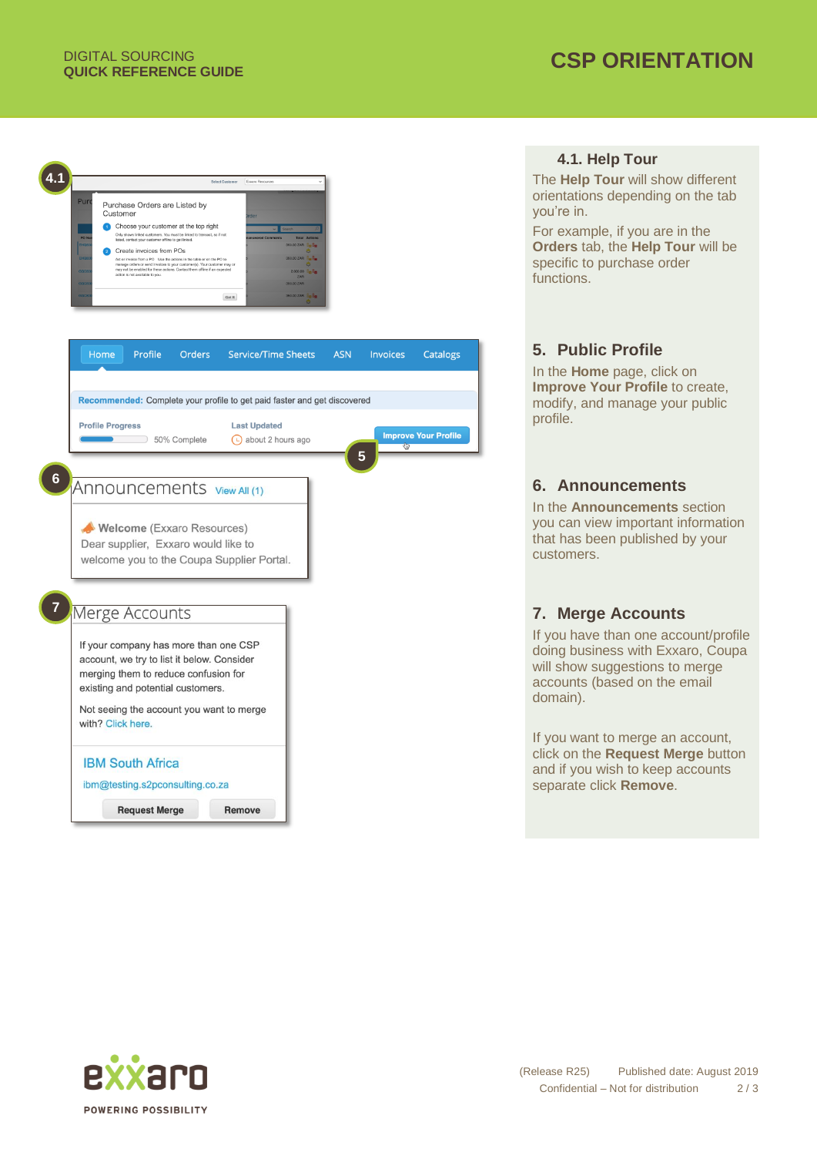

# **4.1. Help Tour**

The **Help Tour** will show different orientations depending on the tab you're in.

For example, if you are in the **Orders** tab, the **Help Tour** will be specific to purchase order functions.

# **5. Public Profile**

In the **Home** page, click on **Improve Your Profile** to create, modify, and manage your public profile.

# **6. Announcements**

In the **Announcements** section you can view important information that has been published by your customers.

# **7. Merge Accounts**

If you have than one account/profile doing business with Exxaro, Coupa will show suggestions to merge accounts (based on the email domain).

If you want to merge an account, click on the **Request Merge** button and if you wish to keep accounts separate click **Remove**.